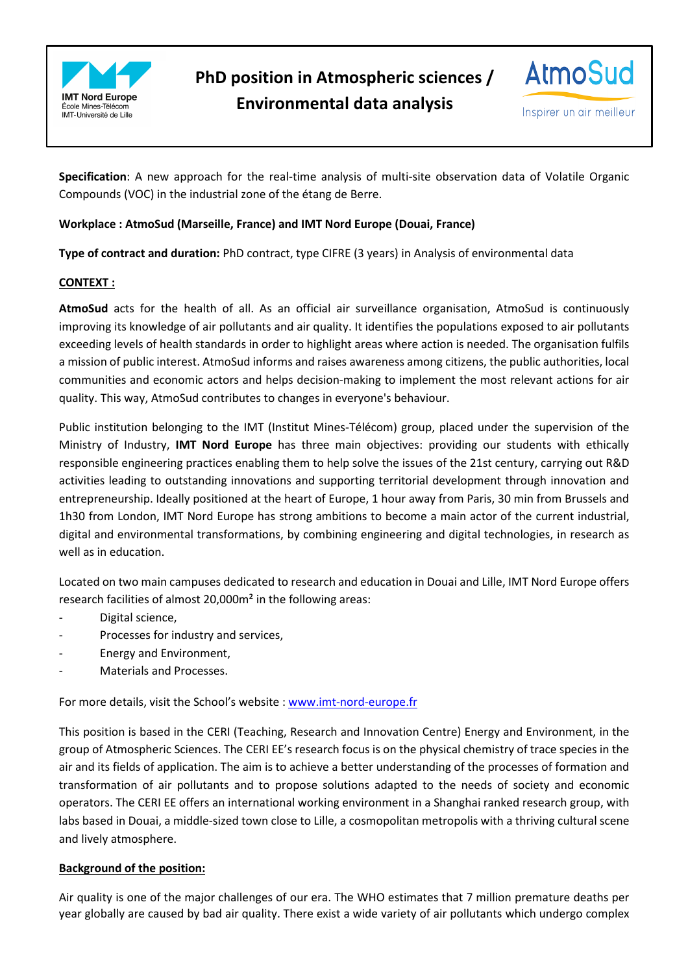

**PhD position in Atmospheric sciences / Environmental data analysis** 



Inspirer un air meilleur

**Specification**: A new approach for the real-time analysis of multi-site observation data of Volatile Organic Compounds (VOC) in the industrial zone of the étang de Berre.

# **Workplace : AtmoSud (Marseille, France) and IMT Nord Europe (Douai, France)**

**Type of contract and duration:** PhD contract, type CIFRE (3 years) in Analysis of environmental data

## **CONTEXT :**

**AtmoSud** acts for the health of all. As an official air surveillance organisation, AtmoSud is continuously improving its knowledge of air pollutants and air quality. It identifies the populations exposed to air pollutants exceeding levels of health standards in order to highlight areas where action is needed. The organisation fulfils a mission of public interest. AtmoSud informs and raises awareness among citizens, the public authorities, local communities and economic actors and helps decision-making to implement the most relevant actions for air quality. This way, AtmoSud contributes to changes in everyone's behaviour.

Public institution belonging to the IMT (Institut Mines-Télécom) group, placed under the supervision of the Ministry of Industry, **IMT Nord Europe** has three main objectives: providing our students with ethically responsible engineering practices enabling them to help solve the issues of the 21st century, carrying out R&D activities leading to outstanding innovations and supporting territorial development through innovation and entrepreneurship. Ideally positioned at the heart of Europe, 1 hour away from Paris, 30 min from Brussels and 1h30 from London, IMT Nord Europe has strong ambitions to become a main actor of the current industrial, digital and environmental transformations, by combining engineering and digital technologies, in research as well as in education.

Located on two main campuses dedicated to research and education in Douai and Lille, IMT Nord Europe offers research facilities of almost 20,000m² in the following areas:

- Digital science,
- Processes for industry and services,
- Energy and Environment,
- Materials and Processes.

For more details, visit the School's website : www.imt-nord-europe.fr

This position is based in the CERI (Teaching, Research and Innovation Centre) Energy and Environment, in the group of Atmospheric Sciences. The CERI EE's research focus is on the physical chemistry of trace species in the air and its fields of application. The aim is to achieve a better understanding of the processes of formation and transformation of air pollutants and to propose solutions adapted to the needs of society and economic operators. The CERI EE offers an international working environment in a Shanghai ranked research group, with labs based in Douai, a middle-sized town close to Lille, a cosmopolitan metropolis with a thriving cultural scene and lively atmosphere.

## **Background of the position:**

Air quality is one of the major challenges of our era. The WHO estimates that 7 million premature deaths per year globally are caused by bad air quality. There exist a wide variety of air pollutants which undergo complex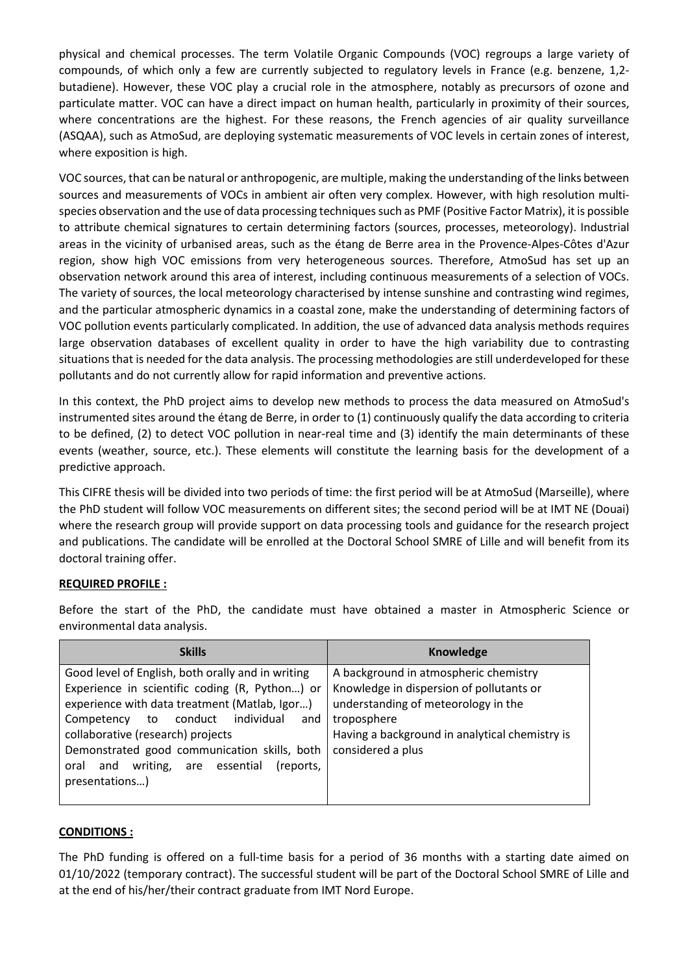physical and chemical processes. The term Volatile Organic Compounds (VOC) regroups a large variety of compounds, of which only a few are currently subjected to regulatory levels in France (e.g. benzene, 1,2 butadiene). However, these VOC play a crucial role in the atmosphere, notably as precursors of ozone and particulate matter. VOC can have a direct impact on human health, particularly in proximity of their sources, where concentrations are the highest. For these reasons, the French agencies of air quality surveillance (ASQAA), such as AtmoSud, are deploying systematic measurements of VOC levels in certain zones of interest, where exposition is high.

VOC sources, that can be natural or anthropogenic, are multiple, making the understanding of the links between sources and measurements of VOCs in ambient air often very complex. However, with high resolution multispecies observation and the use of data processing techniques such as PMF (Positive Factor Matrix), it is possible to attribute chemical signatures to certain determining factors (sources, processes, meteorology). Industrial areas in the vicinity of urbanised areas, such as the étang de Berre area in the Provence-Alpes-Côtes d'Azur region, show high VOC emissions from very heterogeneous sources. Therefore, AtmoSud has set up an observation network around this area of interest, including continuous measurements of a selection of VOCs. The variety of sources, the local meteorology characterised by intense sunshine and contrasting wind regimes, and the particular atmospheric dynamics in a coastal zone, make the understanding of determining factors of VOC pollution events particularly complicated. In addition, the use of advanced data analysis methods requires large observation databases of excellent quality in order to have the high variability due to contrasting situations that is needed for the data analysis. The processing methodologies are still underdeveloped for these pollutants and do not currently allow for rapid information and preventive actions.

In this context, the PhD project aims to develop new methods to process the data measured on AtmoSud's instrumented sites around the étang de Berre, in order to (1) continuously qualify the data according to criteria to be defined, (2) to detect VOC pollution in near-real time and (3) identify the main determinants of these events (weather, source, etc.). These elements will constitute the learning basis for the development of a predictive approach.

This CIFRE thesis will be divided into two periods of time: the first period will be at AtmoSud (Marseille), where the PhD student will follow VOC measurements on different sites; the second period will be at IMT NE (Douai) where the research group will provide support on data processing tools and guidance for the research project and publications. The candidate will be enrolled at the Doctoral School SMRE of Lille and will benefit from its doctoral training offer.

## **REQUIRED PROFILE :**

Before the start of the PhD, the candidate must have obtained a master in Atmospheric Science or environmental data analysis.

| <b>Skills</b>                                     | Knowledge                                      |
|---------------------------------------------------|------------------------------------------------|
| Good level of English, both orally and in writing | A background in atmospheric chemistry          |
| Experience in scientific coding (R, Python) or    | Knowledge in dispersion of pollutants or       |
| experience with data treatment (Matlab, Igor)     | understanding of meteorology in the            |
| to conduct individual<br>Competency<br>and        | troposphere                                    |
| collaborative (research) projects                 | Having a background in analytical chemistry is |
| Demonstrated good communication skills, both      | considered a plus                              |
| and writing, are essential<br>(reports.<br>oral   |                                                |
| presentations)                                    |                                                |
|                                                   |                                                |

## **CONDITIONS :**

The PhD funding is offered on a full-time basis for a period of 36 months with a starting date aimed on 01/10/2022 (temporary contract). The successful student will be part of the Doctoral School SMRE of Lille and at the end of his/her/their contract graduate from IMT Nord Europe.